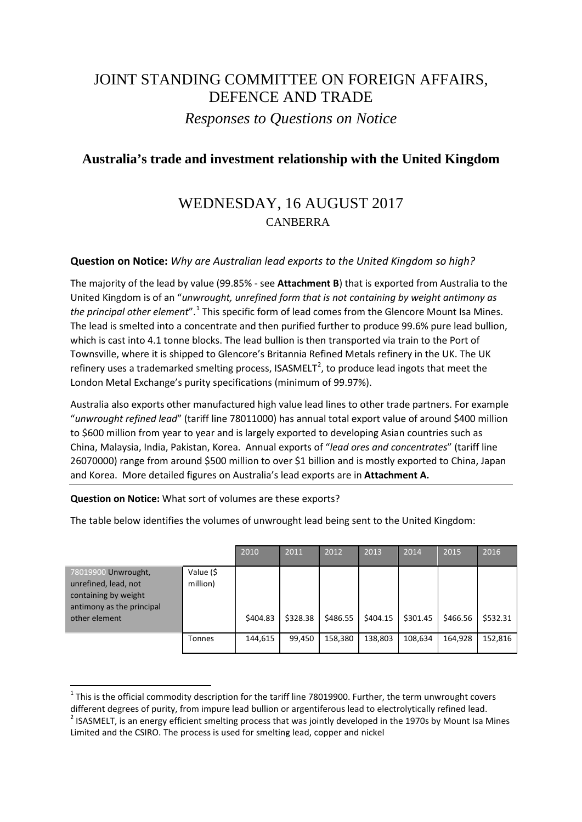# JOINT STANDING COMMITTEE ON FOREIGN AFFAIRS, DEFENCE AND TRADE *Responses to Questions on Notice*

### **Australia's trade and investment relationship with the United Kingdom**

## WEDNESDAY, 16 AUGUST 2017 CANBERRA

#### **Question on Notice:** *Why are Australian lead exports to the United Kingdom so high?*

The majority of the lead by value (99.85% - see **Attachment B**) that is exported from Australia to the United Kingdom is of an "*unwrought, unrefined form that is not containing by weight antimony as the principal other element*". [1](#page-0-0) This specific form of lead comes from the Glencore Mount Isa Mines. The lead is smelted into a concentrate and then purified further to produce 99.6% pure lead bullion, which is cast into 4.1 tonne blocks. The lead bullion is then transported via train to the Port of Townsville, where it is shipped to Glencore's Britannia Refined Metals refinery in the UK. The UK refinery uses a trademarked smelting process, ISASMELT<sup>[2](#page-0-1)</sup>, to produce lead ingots that meet the London Metal Exchange's purity specifications (minimum of 99.97%).

Australia also exports other manufactured high value lead lines to other trade partners. For example "*unwrought refined lead*" (tariff line 78011000) has annual total export value of around \$400 million to \$600 million from year to year and is largely exported to developing Asian countries such as China, Malaysia, India, Pakistan, Korea. Annual exports of "*lead ores and concentrates*" (tariff line 26070000) range from around \$500 million to over \$1 billion and is mostly exported to China, Japan and Korea. More detailed figures on Australia's lead exports are in **Attachment A.** 

**Question on Notice:** What sort of volumes are these exports?

The table below identifies the volumes of unwrought lead being sent to the United Kingdom:

|                                                                                                                   |                       | 2010     | 2011     | 2012     | 2013     | 2014     | 2015     | 2016     |
|-------------------------------------------------------------------------------------------------------------------|-----------------------|----------|----------|----------|----------|----------|----------|----------|
| 78019900 Unwrought,<br>unrefined, lead, not<br>containing by weight<br>antimony as the principal<br>other element | Value (\$<br>million) | \$404.83 | \$328.38 | \$486.55 | \$404.15 | \$301.45 | \$466.56 | \$532.31 |
|                                                                                                                   | Tonnes                | 144,615  | 99,450   | 158,380  | 138,803  | 108,634  | 164,928  | 152,816  |

<span id="page-0-0"></span> $1$  This is the official commodity description for the tariff line 78019900. Further, the term unwrought covers different degrees of purity, from impure lead bullion or argentiferous lead to electrolytically refined lead.  $^{2}$  ISASMELT, is an energy efficient smelting process that was jointly developed in the 1970s by Mount Isa Mines

<span id="page-0-1"></span>Limited and the CSIRO. The process is used for smelting lead, copper and nickel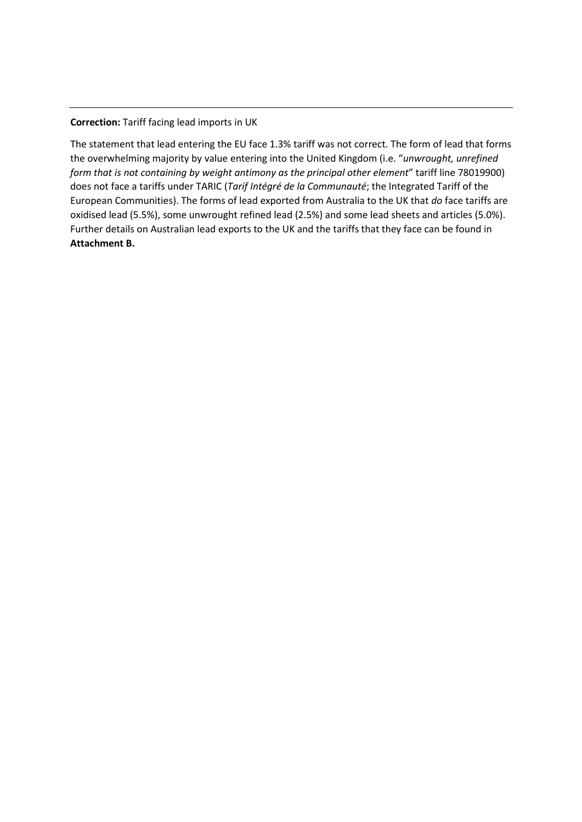**Correction:** Tariff facing lead imports in UK

The statement that lead entering the EU face 1.3% tariff was not correct. The form of lead that forms the overwhelming majority by value entering into the United Kingdom (i.e. "*unwrought, unrefined form that is not containing by weight antimony as the principal other element*" tariff line 78019900) does not face a tariffs under TARIC (*Tarif Intégré de la Communauté*; the Integrated Tariff of the European Communities). The forms of lead exported from Australia to the UK that *do* face tariffs are oxidised lead (5.5%), some unwrought refined lead (2.5%) and some lead sheets and articles (5.0%). Further details on Australian lead exports to the UK and the tariffs that they face can be found in **Attachment B.**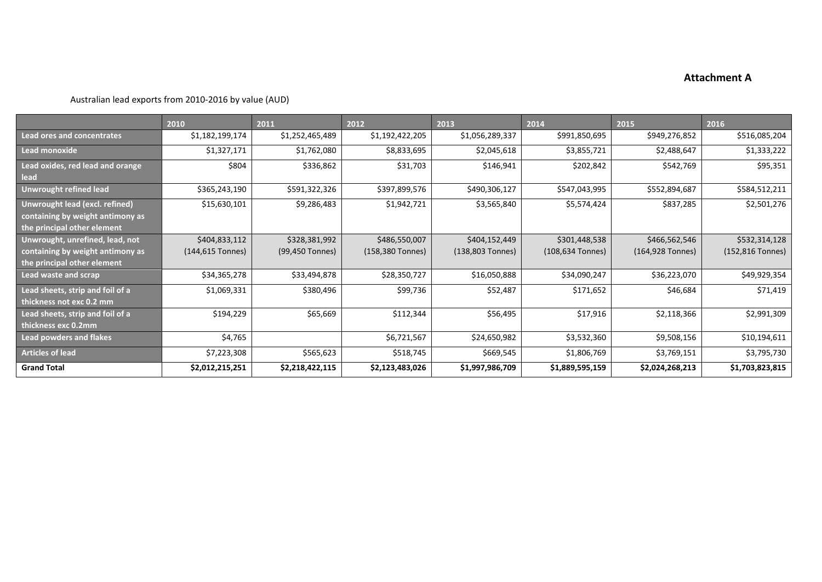#### **Attachment A**

Australian lead exports from 2010-2016 by value (AUD)

|                                                                                                    | 2010                              | 2011                             | 2012                              | 2013                              | 2014                              | 2015                              | 2016                              |
|----------------------------------------------------------------------------------------------------|-----------------------------------|----------------------------------|-----------------------------------|-----------------------------------|-----------------------------------|-----------------------------------|-----------------------------------|
| Lead ores and concentrates                                                                         | \$1,182,199,174                   | \$1,252,465,489                  | \$1,192,422,205                   | \$1,056,289,337                   | \$991,850,695                     | \$949,276,852                     | \$516,085,204                     |
| Lead monoxide                                                                                      | \$1,327,171                       | \$1,762,080                      | \$8,833,695                       | \$2,045,618                       | \$3,855,721                       | \$2,488,647                       | \$1,333,222                       |
| Lead oxides, red lead and orange<br>lead                                                           | \$804                             | \$336,862                        | \$31,703                          | \$146,941                         | \$202,842                         | \$542,769                         | \$95,351                          |
| <b>Unwrought refined lead</b>                                                                      | \$365,243,190                     | \$591,322,326                    | \$397,899,576                     | \$490,306,127                     | \$547,043,995                     | \$552,894,687                     | \$584,512,211                     |
| Unwrought lead (excl. refined)<br>containing by weight antimony as<br>the principal other element  | \$15,630,101                      | \$9,286,483                      | \$1,942,721                       | \$3,565,840                       | \$5,574,424                       | \$837,285                         | \$2,501,276                       |
| Unwrought, unrefined, lead, not<br>containing by weight antimony as<br>the principal other element | \$404,833,112<br>(144,615 Tonnes) | \$328,381,992<br>(99,450 Tonnes) | \$486,550,007<br>(158,380 Tonnes) | \$404,152,449<br>(138,803 Tonnes) | \$301,448,538<br>(108,634 Tonnes) | \$466,562,546<br>(164,928 Tonnes) | \$532,314,128<br>(152,816 Tonnes) |
| Lead waste and scrap                                                                               | \$34,365,278                      | \$33,494,878                     | \$28,350,727                      | \$16,050,888                      | \$34,090,247                      | \$36,223,070                      | \$49,929,354                      |
| Lead sheets, strip and foil of a<br>thickness not exc 0.2 mm                                       | \$1,069,331                       | \$380,496                        | \$99,736                          | \$52,487                          | \$171,652                         | \$46,684                          | \$71,419                          |
| Lead sheets, strip and foil of a<br>thickness exc 0.2mm                                            | \$194,229                         | \$65,669                         | \$112,344                         | \$56,495                          | \$17,916                          | \$2,118,366                       | \$2,991,309                       |
| <b>Lead powders and flakes</b>                                                                     | \$4,765                           |                                  | \$6,721,567                       | \$24,650,982                      | \$3,532,360                       | \$9,508,156                       | \$10,194,611                      |
| <b>Articles of lead</b>                                                                            | \$7,223,308                       | \$565,623                        | \$518,745                         | \$669,545                         | \$1,806,769                       | \$3,769,151                       | \$3,795,730                       |
| <b>Grand Total</b>                                                                                 | \$2,012,215,251                   | \$2,218,422,115                  | \$2,123,483,026                   | \$1,997,986,709                   | \$1,889,595,159                   | \$2,024,268,213                   | \$1,703,823,815                   |